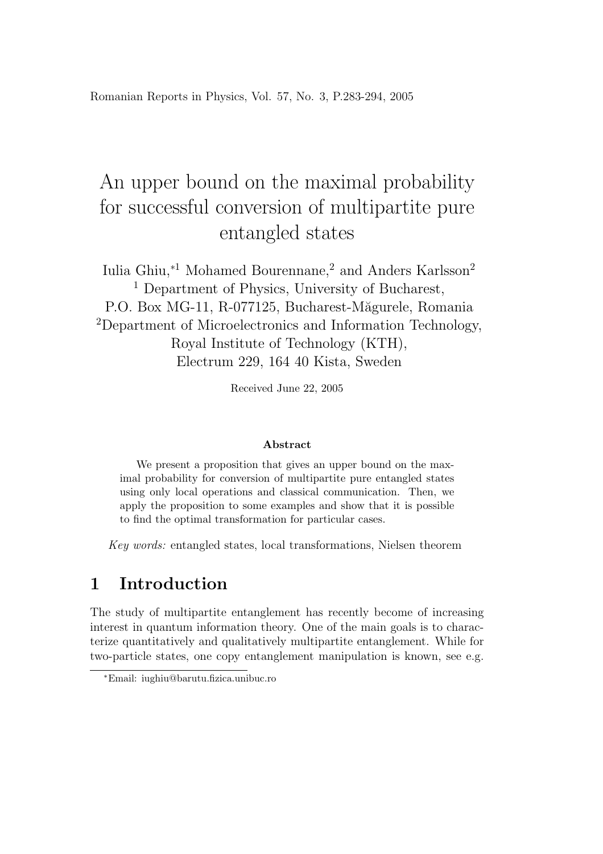Romanian Reports in Physics, Vol. 57, No. 3, P.283-294, 2005

# An upper bound on the maximal probability for successful conversion of multipartite pure entangled states

Iulia Ghiu,∗<sup>1</sup> Mohamed Bourennane,<sup>2</sup> and Anders Karlsson<sup>2</sup> <sup>1</sup> Department of Physics, University of Bucharest, P.O. Box MG-11, R-077125, Bucharest-Măgurele, Romania <sup>2</sup>Department of Microelectronics and Information Technology, Royal Institute of Technology (KTH), Electrum 229, 164 40 Kista, Sweden

Received June 22, 2005

#### Abstract

We present a proposition that gives an upper bound on the maximal probability for conversion of multipartite pure entangled states using only local operations and classical communication. Then, we apply the proposition to some examples and show that it is possible to find the optimal transformation for particular cases.

Key words: entangled states, local transformations, Nielsen theorem

## 1 Introduction

The study of multipartite entanglement has recently become of increasing interest in quantum information theory. One of the main goals is to characterize quantitatively and qualitatively multipartite entanglement. While for two-particle states, one copy entanglement manipulation is known, see e.g.

<sup>∗</sup>Email: iughiu@barutu.fizica.unibuc.ro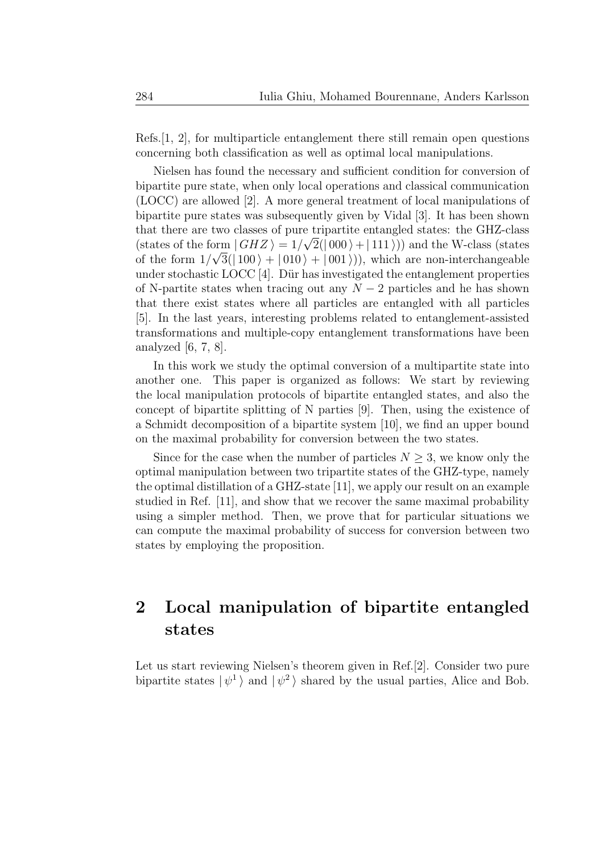Refs. $[1, 2]$ , for multiparticle entanglement there still remain open questions concerning both classification as well as optimal local manipulations.

Nielsen has found the necessary and sufficient condition for conversion of bipartite pure state, when only local operations and classical communication (LOCC) are allowed [2]. A more general treatment of local manipulations of bipartite pure states was subsequently given by Vidal [3]. It has been shown that there are two classes of pure tripartite entangled states: the GHZ-class (states of the form  $|GHZ\rangle = 1/\sqrt{2}(|000\rangle + |111\rangle)$ ) and the W-class (states of the form  $1/\sqrt{3}(|100\rangle + |010\rangle + |001\rangle)$ , which are non-interchangeable under stochastic LOCC  $[4]$ . Dür has investigated the entanglement properties of N-partite states when tracing out any  $N-2$  particles and he has shown that there exist states where all particles are entangled with all particles [5]. In the last years, interesting problems related to entanglement-assisted transformations and multiple-copy entanglement transformations have been analyzed [6, 7, 8].

In this work we study the optimal conversion of a multipartite state into another one. This paper is organized as follows: We start by reviewing the local manipulation protocols of bipartite entangled states, and also the concept of bipartite splitting of N parties [9]. Then, using the existence of a Schmidt decomposition of a bipartite system [10], we find an upper bound on the maximal probability for conversion between the two states.

Since for the case when the number of particles  $N \geq 3$ , we know only the optimal manipulation between two tripartite states of the GHZ-type, namely the optimal distillation of a GHZ-state [11], we apply our result on an example studied in Ref. [11], and show that we recover the same maximal probability using a simpler method. Then, we prove that for particular situations we can compute the maximal probability of success for conversion between two states by employing the proposition.

# 2 Local manipulation of bipartite entangled states

Let us start reviewing Nielsen's theorem given in Ref.[2]. Consider two pure bipartite states  $|\psi^1\rangle$  and  $|\psi^2\rangle$  shared by the usual parties, Alice and Bob.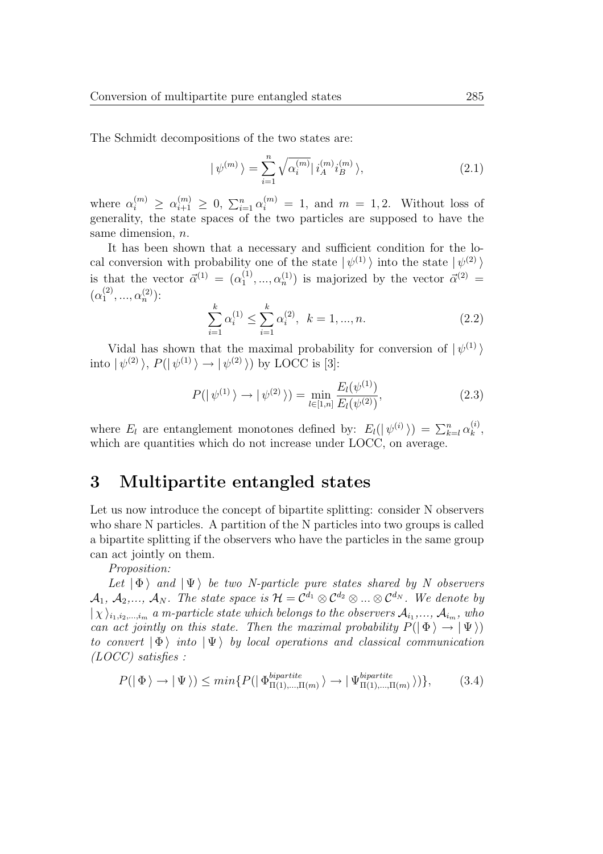The Schmidt decompositions of the two states are:

$$
|\psi^{(m)}\rangle = \sum_{i=1}^{n} \sqrt{\alpha_i^{(m)}} |i_A^{(m)} i_B^{(m)}\rangle, \qquad (2.1)
$$

where  $\alpha_i^{(m)} \geq \alpha_{i+1}^{(m)} \geq 0$ ,  $\sum_{i=1}^n \alpha_i^{(m)} = 1$ , and  $m = 1, 2$ . Without loss of generality, the state spaces of the two particles are supposed to have the same dimension, *n*.

It has been shown that a necessary and sufficient condition for the local conversion with probability one of the state  $|\psi^{(1)}\rangle$  into the state  $|\psi^{(2)}\rangle$ is that the vector  $\vec{\alpha}^{(1)} = (\alpha_1^{(1)})$  $\alpha_1^{(1)}, \ldots, \alpha_n^{(1)}$  is majorized by the vector  $\vec{\alpha}^{(2)} =$  $(\alpha_1^{(2)}$  $\alpha_n^{(2)}$ , ...,  $\alpha_n^{(2)}$ ):

$$
\sum_{i=1}^{k} \alpha_i^{(1)} \le \sum_{i=1}^{k} \alpha_i^{(2)}, \quad k = 1, ..., n. \tag{2.2}
$$

Vidal has shown that the maximal probability for conversion of  $|\psi^{(1)}\rangle$ into  $|\psi^{(2)}\rangle$ ,  $P(|\psi^{(1)}\rangle \rightarrow |\psi^{(2)}\rangle)$  by LOCC is [3]:

$$
P(|\psi^{(1)}\rangle \to |\psi^{(2)}\rangle) = \min_{l \in [1,n]} \frac{E_l(\psi^{(1)})}{E_l(\psi^{(2)})},\tag{2.3}
$$

where  $E_l$  are entanglement monotones defined by:  $E_l(|\psi^{(i)}\rangle) = \sum_{k=l}^n \alpha_k^{(i)}$  $\binom{v}{k}$ which are quantities which do not increase under LOCC, on average.

### 3 Multipartite entangled states

Let us now introduce the concept of bipartite splitting: consider N observers who share N particles. A partition of the N particles into two groups is called a bipartite splitting if the observers who have the particles in the same group can act jointly on them.

Proposition:

Let  $|\Phi\rangle$  and  $|\Psi\rangle$  be two N-particle pure states shared by N observers  $\mathcal{A}_1, \ \mathcal{A}_2,..., \ \mathcal{A}_N$ . The state space is  $\mathcal{H}=\mathcal{C}^{d_1}\otimes \mathcal{C}^{d_2}\otimes...\otimes \mathcal{C}^{d_N}$ . We denote by  $|\chi \rangle_{i_1,i_2,...,i_m}$  a m-particle state which belongs to the observers  $\mathcal{A}_{i_1},...,\mathcal{A}_{i_m}$ , who can act jointly on this state. Then the maximal probability  $P(|\Phi\rangle \rightarrow |\Psi\rangle)$ to convert  $|\Phi\rangle$  into  $|\Psi\rangle$  by local operations and classical communication (LOCC) satisfies :

$$
P(|\Phi\rangle \to |\Psi\rangle) \le \min\{P(|\Phi_{\Pi(1),\dots,\Pi(m)}^{bipartite}\rangle \to |\Psi_{\Pi(1),\dots,\Pi(m)}^{bipartite}\rangle)\},\tag{3.4}
$$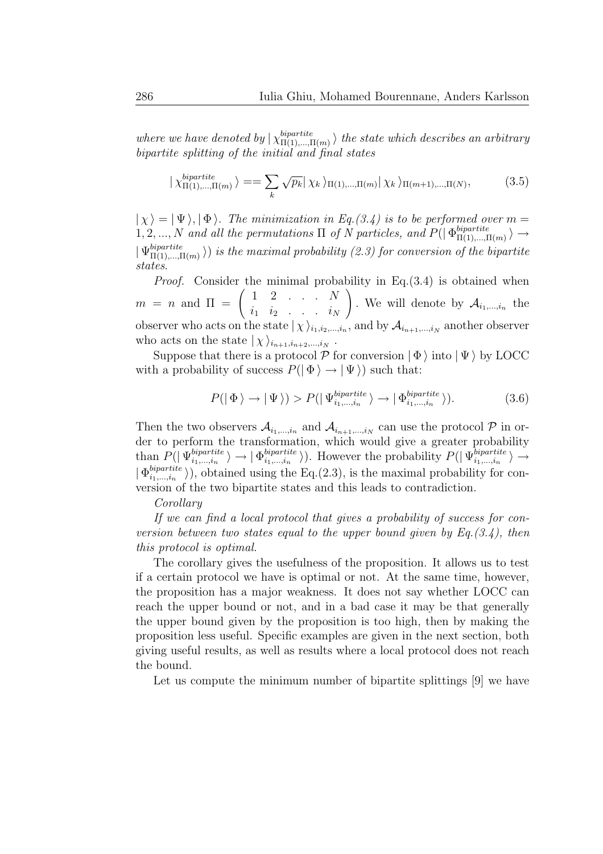where we have denoted by  $\chi_{\Pi(1),\dots,\Pi}^{bipartite}$  $\lim_{\Pi(1),\ldots,\Pi(m)} \rangle$  the state which describes an arbitrary bipartite splitting of the initial and final states

$$
|\chi_{\Pi(1),\dots,\Pi(m)}^{bipartite}\rangle = \sum_{k} \sqrt{p_k} |\chi_k\rangle_{\Pi(1),\dots,\Pi(m)} |\chi_k\rangle_{\Pi(m+1),\dots,\Pi(N)},
$$
(3.5)

 $|\chi\rangle = |\Psi\rangle, |\Phi\rangle$ . The minimization in Eq.(3.4) is to be performed over m =  $1, 2, ..., N$  and all the permutations  $\Pi$  of N particles, and  $P(|\Phi_{\Pi(1),...,1}^{bipartite})$  $\Pi(1),\ldots,\Pi(m) \nightharpoonup$  $\mid \Psi_{\Pi(1),...,\mathrm{I}}^{bipartite}$  $\binom{m}{\Pi(1),..., \Pi(m)}$ ) is the maximal probability (2.3) for conversion of the bipartite states.

Proof. Consider the minimal probability in Eq.(3.4) is obtained when  $m = n$  and  $\Pi = \begin{pmatrix} 1 & 2 & \cdots & N \\ \vdots & \vdots & \ddots & \vdots \end{pmatrix}$  $i_1$   $i_2$  . . .  $i_N$  $\setminus$ . We will denote by  $A_{i_1,\dots,i_n}$  the observer who acts on the state  $|\chi\rangle_{i_1,i_2,\dots,i_n}$ , and by  $\mathcal{A}_{i_{n+1},...,i_N}$  another observer who acts on the state  $|\chi\rangle_{i_{n+1},i_{n+2},...,i_N}$ .

Suppose that there is a protocol  $P$  for conversion  $|\Phi\rangle$  into  $|\Psi\rangle$  by LOCC with a probability of success  $P(|\Phi\rangle \rightarrow |\Psi\rangle)$  such that:

$$
P(|\Phi\rangle \to |\Psi\rangle) > P(|\Psi_{i_1,\dots,i_n}^{bipartite}\rangle \to |\Phi_{i_1,\dots,i_n}^{bipartite}\rangle). \tag{3.6}
$$

Then the two observers  $\mathcal{A}_{i_1,\dots,i_n}$  and  $\mathcal{A}_{i_{n+1},\dots,i_N}$  can use the protocol  $\mathcal{P}$  in order to perform the transformation, which would give a greater probability than  $P(|\Psi_{i_1,\dots,i_n}^{bipartite}]$  $\left\langle bipartite \atop i_1,...,i_n} \right\rangle \rightarrow \left\lfloor \Phi_{i_1,...,i_n}^{bipartite} \right\rceil$  $\langle bipartite \rangle$ ). However the probability  $P(|\Psi_{i_1,\dots,i_n}^{bipartite}|)$  $i_1,\ldots,i_n \quad \rangle \rightarrow$  $| \, \Phi_{i_1,...,i_n}^{bipartite} |$  $\binom{opparticle}{i_1,\dots,i_n}$ , obtained using the Eq.(2.3), is the maximal probability for conversion of the two bipartite states and this leads to contradiction.

#### Corollary

If we can find a local protocol that gives a probability of success for conversion between two states equal to the upper bound given by  $Eq.(3.4)$ , then this protocol is optimal.

The corollary gives the usefulness of the proposition. It allows us to test if a certain protocol we have is optimal or not. At the same time, however, the proposition has a major weakness. It does not say whether LOCC can reach the upper bound or not, and in a bad case it may be that generally the upper bound given by the proposition is too high, then by making the proposition less useful. Specific examples are given in the next section, both giving useful results, as well as results where a local protocol does not reach the bound.

Let us compute the minimum number of bipartite splittings [9] we have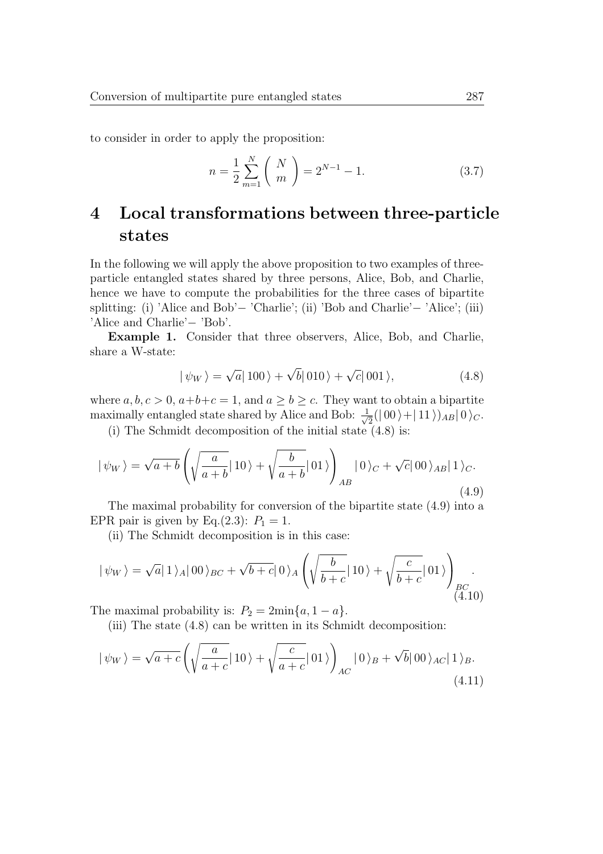to consider in order to apply the proposition:

$$
n = \frac{1}{2} \sum_{m=1}^{N} \binom{N}{m} = 2^{N-1} - 1.
$$
 (3.7)

# 4 Local transformations between three-particle states

In the following we will apply the above proposition to two examples of threeparticle entangled states shared by three persons, Alice, Bob, and Charlie, hence we have to compute the probabilities for the three cases of bipartite splitting: (i) 'Alice and Bob'− 'Charlie'; (ii) 'Bob and Charlie'− 'Alice'; (iii) 'Alice and Charlie'− 'Bob'.

Example 1. Consider that three observers, Alice, Bob, and Charlie, share a W-state:

$$
|\psi_W\rangle = \sqrt{a}|100\rangle + \sqrt{b}|010\rangle + \sqrt{c}|001\rangle, \qquad (4.8)
$$

where  $a, b, c > 0, a+b+c = 1$ , and  $a \ge b \ge c$ . They want to obtain a bipartite maximally entangled state shared by Alice and Bob:  $\frac{1}{\sqrt{2}}$  $\frac{1}{2}(|00\rangle + |11\rangle)_{AB} |0\rangle_C.$ 

(i) The Schmidt decomposition of the initial state (4.8) is:

$$
|\psi_W\rangle = \sqrt{a+b} \left( \sqrt{\frac{a}{a+b}} |10\rangle + \sqrt{\frac{b}{a+b}} |01\rangle \right)_{AB} |0\rangle_C + \sqrt{c}|00\rangle_{AB} |1\rangle_C.
$$
\n(4.9)

The maximal probability for conversion of the bipartite state (4.9) into a EPR pair is given by Eq.(2.3):  $P_1 = 1$ .

(ii) The Schmidt decomposition is in this case:

$$
|\psi_W\rangle = \sqrt{a}|1\rangle_A|00\rangle_{BC} + \sqrt{b+c}|0\rangle_A \left(\sqrt{\frac{b}{b+c}}|10\rangle + \sqrt{\frac{c}{b+c}}|01\rangle\right)_{BC}
$$
\n(4.10)

The maximal probability is:  $P_2 = 2\min\{a, 1 - a\}.$ 

(iii) The state (4.8) can be written in its Schmidt decomposition:

$$
|\psi_W\rangle = \sqrt{a+c} \left( \sqrt{\frac{a}{a+c}} |10\rangle + \sqrt{\frac{c}{a+c}} |01\rangle \right)_{AC} |0\rangle_B + \sqrt{b} |00\rangle_{AC} |1\rangle_B.
$$
\n(4.11)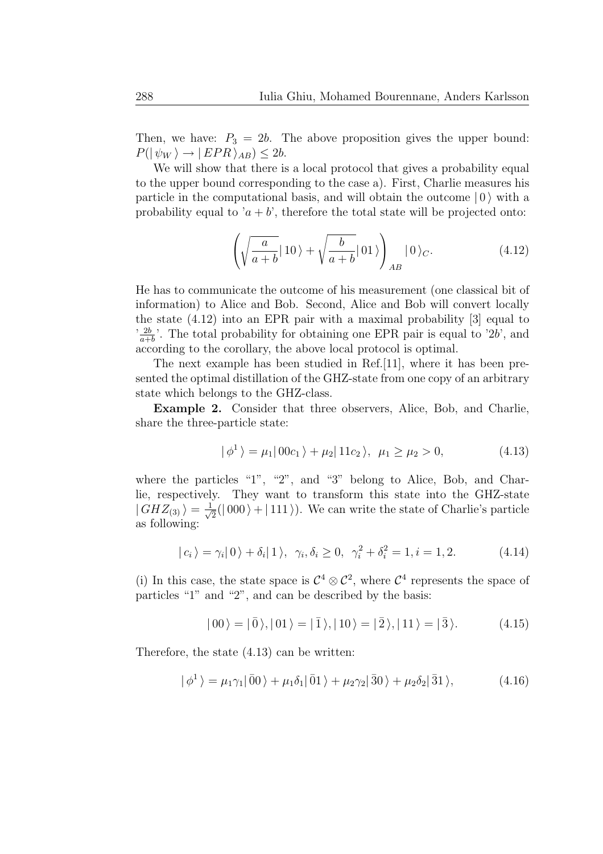Then, we have:  $P_3 = 2b$ . The above proposition gives the upper bound:  $P(|\psi_W\rangle \rightarrow |EPR\rangle_{AB}) \leq 2b.$ 

We will show that there is a local protocol that gives a probability equal to the upper bound corresponding to the case a). First, Charlie measures his particle in the computational basis, and will obtain the outcome  $|0\rangle$  with a probability equal to ' $a + b$ ', therefore the total state will be projected onto:

$$
\left(\sqrt{\frac{a}{a+b}}\left|10\right\rangle+\sqrt{\frac{b}{a+b}}\left|01\right\rangle\right)_{AB}\left|0\right\rangle_C.
$$
\n(4.12)

He has to communicate the outcome of his measurement (one classical bit of information) to Alice and Bob. Second, Alice and Bob will convert locally the state (4.12) into an EPR pair with a maximal probability [3] equal to  $\frac{2b}{a+}$  $\frac{2b}{a+b}$ . The total probability for obtaining one EPR pair is equal to '2b', and according to the corollary, the above local protocol is optimal.

The next example has been studied in Ref.[11], where it has been presented the optimal distillation of the GHZ-state from one copy of an arbitrary state which belongs to the GHZ-class.

Example 2. Consider that three observers, Alice, Bob, and Charlie, share the three-particle state:

$$
|\phi^{1}\rangle = \mu_{1}|00c_{1}\rangle + \mu_{2}|11c_{2}\rangle, \ \mu_{1} \ge \mu_{2} > 0,
$$
 (4.13)

where the particles "1", "2", and "3" belong to Alice, Bob, and Charlie, respectively. They want to transform this state into the GHZ-state  $|GHZ_{(3)}\rangle = \frac{1}{\sqrt{2}}$  $\overline{Z}_{\overline{2}}(|000\rangle + |111\rangle)$ . We can write the state of Charlie's particle as following:

$$
|c_i\rangle = \gamma_i|0\rangle + \delta_i|1\rangle, \ \gamma_i, \delta_i \ge 0, \ \gamma_i^2 + \delta_i^2 = 1, i = 1, 2. \tag{4.14}
$$

(i) In this case, the state space is  $\mathcal{C}^4 \otimes \mathcal{C}^2$ , where  $\mathcal{C}^4$  represents the space of particles "1" and "2", and can be described by the basis:

$$
|00\rangle = |0\rangle, |01\rangle = |1\rangle, |10\rangle = |2\rangle, |11\rangle = |3\rangle.
$$
 (4.15)

Therefore, the state (4.13) can be written:

$$
|\phi^{1}\rangle = \mu_{1}\gamma_{1}|\bar{0}0\rangle + \mu_{1}\delta_{1}|\bar{0}1\rangle + \mu_{2}\gamma_{2}|\bar{3}0\rangle + \mu_{2}\delta_{2}|\bar{3}1\rangle, \qquad (4.16)
$$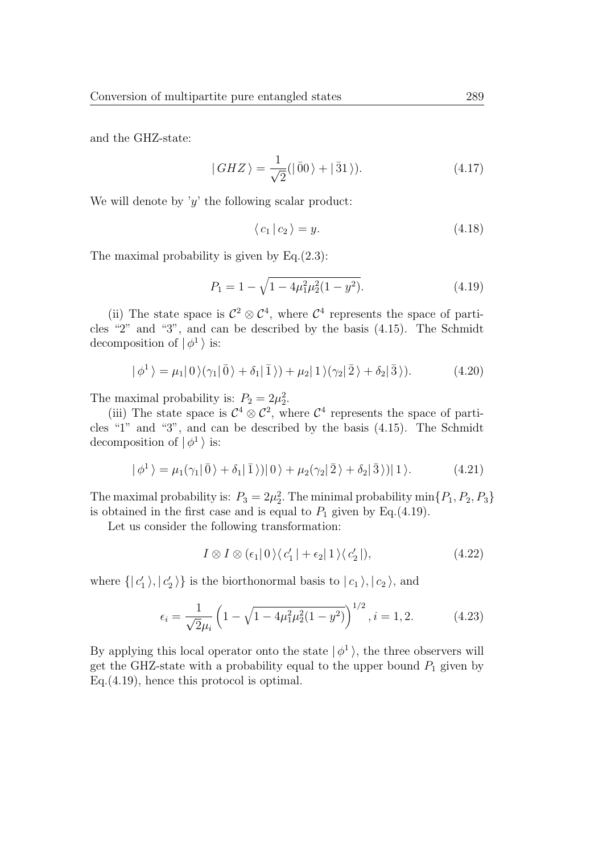and the GHZ-state:

$$
|GHZ\rangle = \frac{1}{\sqrt{2}}(|\bar{0}0\rangle + |\bar{3}1\rangle). \tag{4.17}
$$

We will denote by 'y' the following scalar product:

$$
\langle c_1 | c_2 \rangle = y. \tag{4.18}
$$

The maximal probability is given by Eq.(2.3):

$$
P_1 = 1 - \sqrt{1 - 4\mu_1^2 \mu_2^2 (1 - y^2)}.
$$
\n(4.19)

(ii) The state space is  $\mathcal{C}^2 \otimes \mathcal{C}^4$ , where  $\mathcal{C}^4$  represents the space of particles "2" and "3", and can be described by the basis (4.15). The Schmidt decomposition of  $|\phi^1\rangle$  is:

$$
|\phi^{1}\rangle = \mu_{1}|0\rangle(\gamma_{1}|\bar{0}\rangle + \delta_{1}|\bar{1}\rangle) + \mu_{2}|1\rangle(\gamma_{2}|\bar{2}\rangle + \delta_{2}|\bar{3}\rangle). \tag{4.20}
$$

The maximal probability is:  $P_2 = 2\mu_2^2$ .

(iii) The state space is  $C^4 \otimes C^2$ , where  $C^4$  represents the space of particles "1" and "3", and can be described by the basis (4.15). The Schmidt decomposition of  $|\phi^1\rangle$  is:

$$
|\phi^{1}\rangle = \mu_{1}(\gamma_{1}|\bar{0}\rangle + \delta_{1}|\bar{1}\rangle)|0\rangle + \mu_{2}(\gamma_{2}|\bar{2}\rangle + \delta_{2}|\bar{3}\rangle)|1\rangle.
$$
 (4.21)

The maximal probability is:  $P_3 = 2\mu_2^2$ . The minimal probability min $\{P_1, P_2, P_3\}$ is obtained in the first case and is equal to  $P_1$  given by Eq.(4.19).

Let us consider the following transformation:

$$
I \otimes I \otimes (\epsilon_1 | 0) \langle c_1' | + \epsilon_2 | 1 \rangle \langle c_2' | ), \qquad (4.22)
$$

where  $\{ |c'_1\rangle, |c'_2\rangle \}$  is the biorthonormal basis to  $|c_1\rangle, |c_2\rangle$ , and

$$
\epsilon_i = \frac{1}{\sqrt{2}\mu_i} \left( 1 - \sqrt{1 - 4\mu_1^2 \mu_2^2 (1 - y^2)} \right)^{1/2}, i = 1, 2.
$$
 (4.23)

By applying this local operator onto the state  $|\phi^1\rangle$ , the three observers will get the GHZ-state with a probability equal to the upper bound  $P_1$  given by Eq.(4.19), hence this protocol is optimal.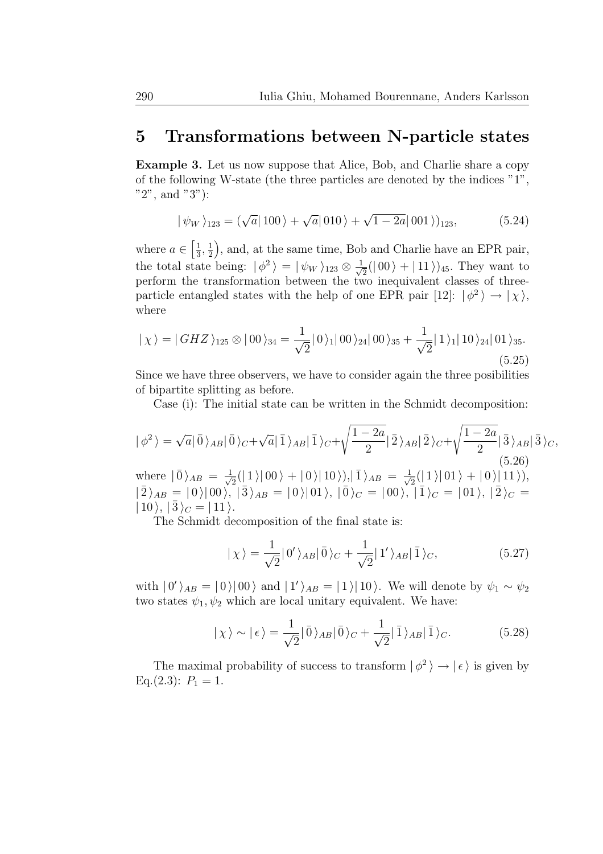### 5 Transformations between N-particle states

Example 3. Let us now suppose that Alice, Bob, and Charlie share a copy of the following W-state (the three particles are denoted by the indices "1", "2", and "3"):

$$
|\psi_W\rangle_{123} = (\sqrt{a}|100\rangle + \sqrt{a}|010\rangle + \sqrt{1-2a}|001\rangle)_{123},
$$
 (5.24)

where  $a \in \left[\frac{1}{3}\right]$  $\frac{1}{3}, \frac{1}{2}$ 2 ), and, at the same time, Bob and Charlie have an EPR pair, the total state being:  $|\phi^2\rangle = |\psi_W\rangle_{123} \otimes \frac{1}{\sqrt{2}}$  $\frac{1}{2}(|00\rangle + |11\rangle)_{45}$ . They want to perform the transformation between the two inequivalent classes of threeparticle entangled states with the help of one EPR pair [12]:  $|\phi^2\rangle \rightarrow |\chi\rangle$ , where

$$
|\chi\rangle = |GHZ\rangle_{125} \otimes |00\rangle_{34} = \frac{1}{\sqrt{2}}|0\rangle_{1}|00\rangle_{24}|00\rangle_{35} + \frac{1}{\sqrt{2}}|1\rangle_{1}|10\rangle_{24}|01\rangle_{35}.
$$
\n(5.25)

Since we have three observers, we have to consider again the three posibilities of bipartite splitting as before.

Case (i): The initial state can be written in the Schmidt decomposition:

$$
|\phi^2\rangle = \sqrt{a}|\bar{0}\rangle_{AB}|\bar{0}\rangle_{C} + \sqrt{a}|\bar{1}\rangle_{AB}|\bar{1}\rangle_{C} + \sqrt{\frac{1-2a}{2}}|\bar{2}\rangle_{AB}|\bar{2}\rangle_{C} + \sqrt{\frac{1-2a}{2}}|\bar{3}\rangle_{AB}|\bar{3}\rangle_{C},
$$
  
where  $|\bar{0}\rangle_{AB} = \frac{1}{\sqrt{2}}(|1\rangle|00\rangle + |0\rangle|10\rangle)|, |\bar{1}\rangle_{AB} = \frac{1}{\sqrt{2}}(|1\rangle|01\rangle + |0\rangle|11\rangle),$   
 $|\bar{2}\rangle_{AB} = |0\rangle|00\rangle, |\bar{3}\rangle_{AB} = |0\rangle|01\rangle, |\bar{0}\rangle_{C} = |00\rangle, |\bar{1}\rangle_{C} = |01\rangle, |\bar{2}\rangle_{C} =$   
 $|10\rangle, |\bar{3}\rangle_{C} = |11\rangle.$ 

The Schmidt decomposition of the final state is:

$$
|\chi\rangle = \frac{1}{\sqrt{2}} |0'\rangle_{AB} |\bar{0}\rangle_C + \frac{1}{\sqrt{2}} |1'\rangle_{AB} |\bar{1}\rangle_C, \tag{5.27}
$$

with  $|0'\rangle_{AB} = |0\rangle |00\rangle$  and  $|1'\rangle_{AB} = |1\rangle |10\rangle$ . We will denote by  $\psi_1 \sim \psi_2$ two states  $\psi_1, \psi_2$  which are local unitary equivalent. We have:

$$
|\chi\rangle \sim |\epsilon\rangle = \frac{1}{\sqrt{2}} |\bar{0}\rangle_{AB} |\bar{0}\rangle_C + \frac{1}{\sqrt{2}} |\bar{1}\rangle_{AB} |\bar{1}\rangle_C.
$$
 (5.28)

The maximal probability of success to transform  $| \phi^2 \rangle \rightarrow | \epsilon \rangle$  is given by Eq.(2.3):  $P_1 = 1$ .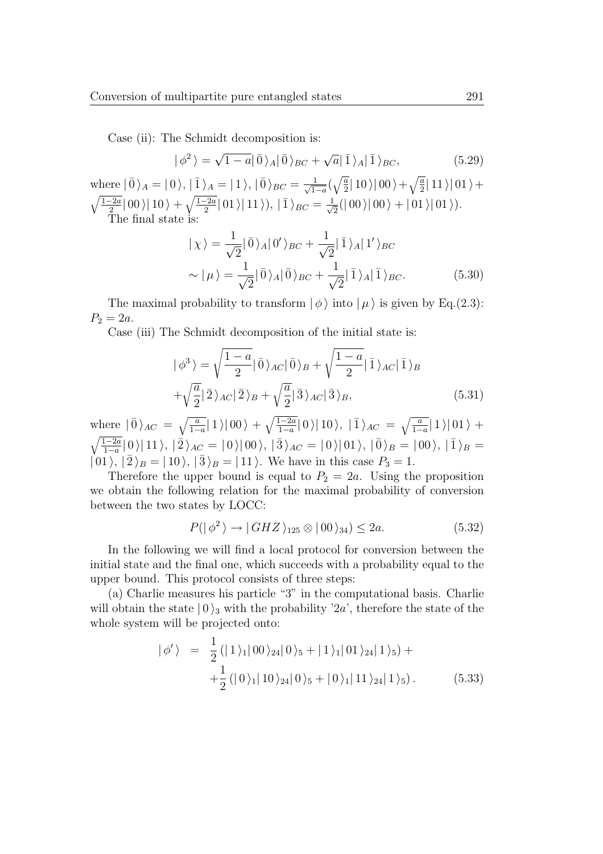Case (ii): The Schmidt decomposition is:

$$
|\phi^2\rangle = \sqrt{1-a}|\bar{0}\rangle_A|\bar{0}\rangle_{BC} + \sqrt{a}|\bar{1}\rangle_A|\bar{1}\rangle_{BC},
$$
 (5.29)

where  $|\bar{0}\rangle_A = |0\rangle, |\bar{1}\rangle_A = |1\rangle, |\bar{0}\rangle_{BC} = \frac{1}{\sqrt{1-a}}(\sqrt{\frac{a}{2}}|10\rangle|00\rangle + \sqrt{\frac{a}{2}}|11\rangle|01\rangle +$  $\frac{1}{1-a}$   $\sqrt{2}$   $\sqrt{2}$  $\sqrt{\frac{1-2a}{2}} |00\rangle |10\rangle + \sqrt{\frac{1-2a}{2}} |01\rangle |11\rangle), |\bar{1}\rangle_{BC} = \frac{1}{\sqrt{2}}$  $\frac{1}{2}(|00\rangle|00\rangle + |01\rangle|01\rangle).$ The final state is:

$$
|\chi\rangle = \frac{1}{\sqrt{2}}|\bar{0}\rangle_A|0'\rangle_{BC} + \frac{1}{\sqrt{2}}|\bar{1}\rangle_A|1'\rangle_{BC}
$$
  

$$
\sim |\mu\rangle = \frac{1}{\sqrt{2}}|\bar{0}\rangle_A|\bar{0}\rangle_{BC} + \frac{1}{\sqrt{2}}|\bar{1}\rangle_A|\bar{1}\rangle_{BC}.
$$
 (5.30)

The maximal probability to transform  $|\phi\rangle$  into  $|\mu\rangle$  is given by Eq.(2.3):  $P_2 = 2a$ .

Case (iii) The Schmidt decomposition of the initial state is:

$$
|\phi^3\rangle = \sqrt{\frac{1-a}{2}}|\bar{0}\rangle_{AC}|\bar{0}\rangle_B + \sqrt{\frac{1-a}{2}}|\bar{1}\rangle_{AC}|\bar{1}\rangle_B
$$
  
+ $\sqrt{\frac{a}{2}}|\bar{2}\rangle_{AC}|\bar{2}\rangle_B + \sqrt{\frac{a}{2}}|\bar{3}\rangle_{AC}|\bar{3}\rangle_B,$  (5.31)

where  $|\bar{0}\rangle_{AC} = \sqrt{\frac{a}{1-\alpha}}$  $\frac{a}{1-a}$ | 1 \| 00 \ +  $\sqrt{\frac{1-2a}{1-a}}$  $\frac{\overline{1-2a}}{1-a}|0\rangle|10\rangle, |1\rangle_{AC} = \sqrt{\frac{a}{1-a}}$  $\frac{a}{1-a}$ | 1 \| 01 \ended +  $\sqrt{\frac{1-2a}{1}}$  $\frac{1-2a}{1-a}|0\rangle|11\rangle, |\bar{2}\rangle_{AC} = |0\rangle|00\rangle, |\bar{3}\rangle_{AC} = |0\rangle|01\rangle, |\bar{0}\rangle_{B} = |00\rangle, |\bar{1}\rangle_{B} =$  $|01\rangle, |\overline{2}\rangle_B = |10\rangle, |\overline{3}\rangle_B = |11\rangle.$  We have in this case  $P_3 = 1$ .

Therefore the upper bound is equal to  $P_2 = 2a$ . Using the proposition we obtain the following relation for the maximal probability of conversion between the two states by LOCC:

$$
P(|\phi^2\rangle \to |GHZ\rangle_{125} \otimes |00\rangle_{34}) \le 2a. \tag{5.32}
$$

In the following we will find a local protocol for conversion between the initial state and the final one, which succeeds with a probability equal to the upper bound. This protocol consists of three steps:

(a) Charlie measures his particle "3" in the computational basis. Charlie will obtain the state  $|0\rangle_3$  with the probability '2a', therefore the state of the whole system will be projected onto:

$$
|\phi'\rangle = \frac{1}{2} (|1\rangle_1|00\rangle_{24}|0\rangle_5 + |1\rangle_1|01\rangle_{24}|1\rangle_5) + + \frac{1}{2} (|0\rangle_1|10\rangle_{24}|0\rangle_5 + |0\rangle_1|11\rangle_{24}|1\rangle_5).
$$
 (5.33)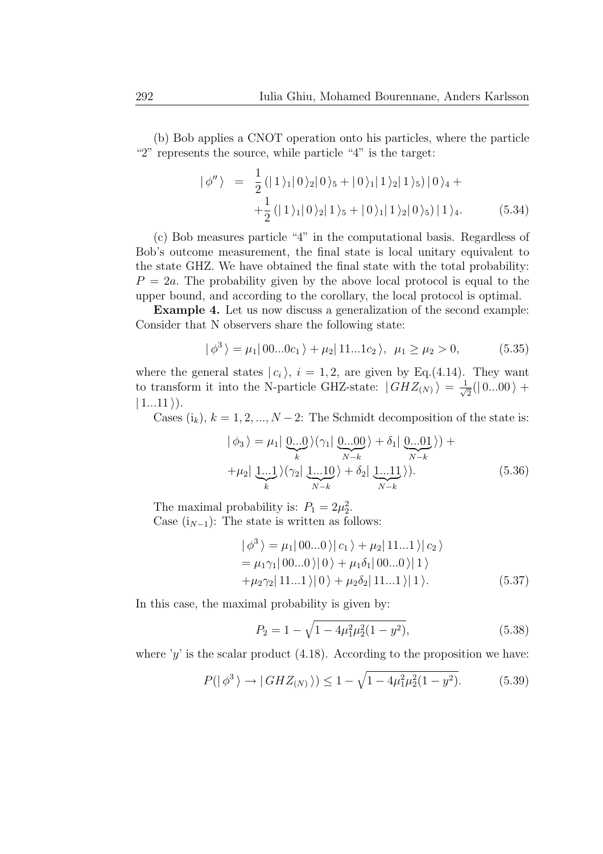(b) Bob applies a CNOT operation onto his particles, where the particle "2" represents the source, while particle "4" is the target:

$$
|\phi''\rangle = \frac{1}{2} (|1\rangle_1|0\rangle_2|0\rangle_5 + |0\rangle_1|1\rangle_2|1\rangle_5) |0\rangle_4 ++\frac{1}{2} (|1\rangle_1|0\rangle_2|1\rangle_5 + |0\rangle_1|1\rangle_2|0\rangle_5) |1\rangle_4.
$$
 (5.34)

(c) Bob measures particle "4" in the computational basis. Regardless of Bob's outcome measurement, the final state is local unitary equivalent to the state GHZ. We have obtained the final state with the total probability:  $P = 2a$ . The probability given by the above local protocol is equal to the upper bound, and according to the corollary, the local protocol is optimal.

Example 4. Let us now discuss a generalization of the second example: Consider that N observers share the following state:

$$
|\phi^3\rangle = \mu_1|00...0c_1\rangle + \mu_2|11...1c_2\rangle, \ \mu_1 \ge \mu_2 > 0,\tag{5.35}
$$

where the general states  $|c_i\rangle$ ,  $i = 1, 2$ , are given by Eq.(4.14). They want to transform it into the N-particle GHZ-state:  $|GHZ_{(N)}\rangle = \frac{1}{\sqrt{N}}$  $\frac{1}{2}(|0...00\rangle +$  $| 1...11 \rangle$ ).

Cases  $(i_k)$ ,  $k = 1, 2, ..., N - 2$ : The Schmidt decomposition of the state is:

$$
|\phi_3\rangle = \mu_1 |\underbrace{0...0}_{k}\rangle (\gamma_1 |\underbrace{0...00}_{N-k}\rangle + \delta_1 |\underbrace{0...01}_{N-k}\rangle) +
$$
  
+
$$
\mu_2 |\underbrace{1...1}_{k}\rangle (\gamma_2 |\underbrace{1...10}_{N-k}\rangle + \delta_2 |\underbrace{1...11}_{N-k}\rangle).
$$
 (5.36)

The maximal probability is:  $P_1 = 2\mu_2^2$ . Case  $(i_{N-1})$ : The state is written as follows:

$$
\begin{aligned} \left| \phi^3 \right\rangle &= \mu_1 | \left( 00...0 \right) \left| c_1 \right\rangle + \mu_2 | \left( 11...1 \right) \left| c_2 \right\rangle \\ &= \mu_1 \gamma_1 | \left( 00...0 \right) | \left( 0 \right\rangle + \mu_1 \delta_1 | \left( 00...0 \right) | \left( 1 \right) \\ &+ \mu_2 \gamma_2 | \left( 11...1 \right) | \left( 0 \right\rangle + \mu_2 \delta_2 | \left( 11...1 \right) | \left( 1 \right). \end{aligned} \tag{5.37}
$$

In this case, the maximal probability is given by:

$$
P_2 = 1 - \sqrt{1 - 4\mu_1^2 \mu_2^2 (1 - y^2)},
$$
\n(5.38)

where 'y' is the scalar product  $(4.18)$ . According to the proposition we have:

$$
P(|\phi^3\rangle \to |GHZ_{(N)}\rangle) \le 1 - \sqrt{1 - 4\mu_1^2\mu_2^2(1 - y^2)}.
$$
 (5.39)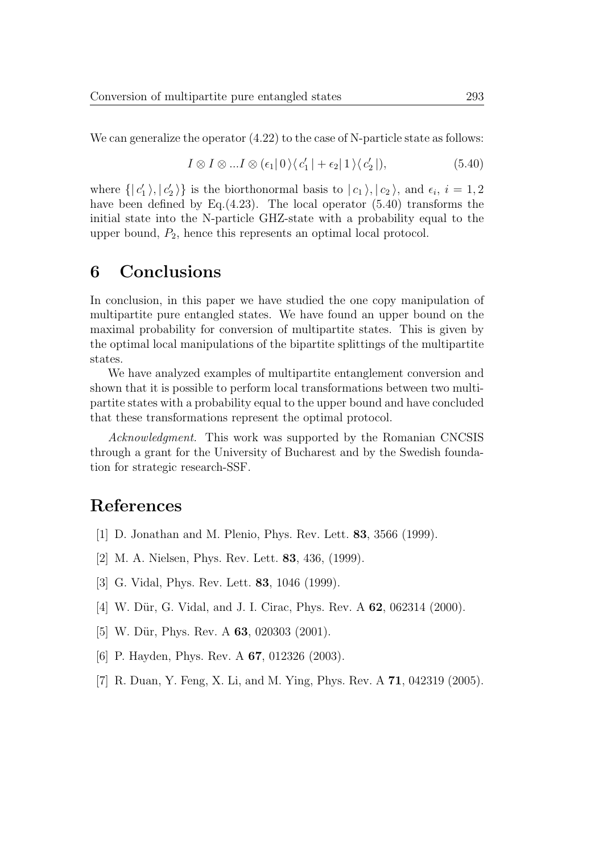We can generalize the operator  $(4.22)$  to the case of N-particle state as follows:

$$
I \otimes I \otimes \dots I \otimes (\epsilon_1 | 0) \langle c_1' | + \epsilon_2 | 1 \rangle \langle c_2' | ), \tag{5.40}
$$

where  $\{|c'_1\rangle, |c'_2\rangle\}$  is the biorthonormal basis to  $|c_1\rangle, |c_2\rangle$ , and  $\epsilon_i$ ,  $i = 1, 2$ have been defined by Eq. $(4.23)$ . The local operator  $(5.40)$  transforms the initial state into the N-particle GHZ-state with a probability equal to the upper bound,  $P_2$ , hence this represents an optimal local protocol.

### 6 Conclusions

In conclusion, in this paper we have studied the one copy manipulation of multipartite pure entangled states. We have found an upper bound on the maximal probability for conversion of multipartite states. This is given by the optimal local manipulations of the bipartite splittings of the multipartite states.

We have analyzed examples of multipartite entanglement conversion and shown that it is possible to perform local transformations between two multipartite states with a probability equal to the upper bound and have concluded that these transformations represent the optimal protocol.

Acknowledgment. This work was supported by the Romanian CNCSIS through a grant for the University of Bucharest and by the Swedish foundation for strategic research-SSF.

# References

- [1] D. Jonathan and M. Plenio, Phys. Rev. Lett. 83, 3566 (1999).
- [2] M. A. Nielsen, Phys. Rev. Lett. 83, 436, (1999).
- [3] G. Vidal, Phys. Rev. Lett. 83, 1046 (1999).
- [4] W. Dür, G. Vidal, and J. I. Cirac, Phys. Rev. A **62**, 062314 (2000).
- [5] W. Dür, Phys. Rev. A  $63$ , 020303 (2001).
- [6] P. Hayden, Phys. Rev. A **67**, 012326 (2003).
- [7] R. Duan, Y. Feng, X. Li, and M. Ying, Phys. Rev. A 71, 042319 (2005).